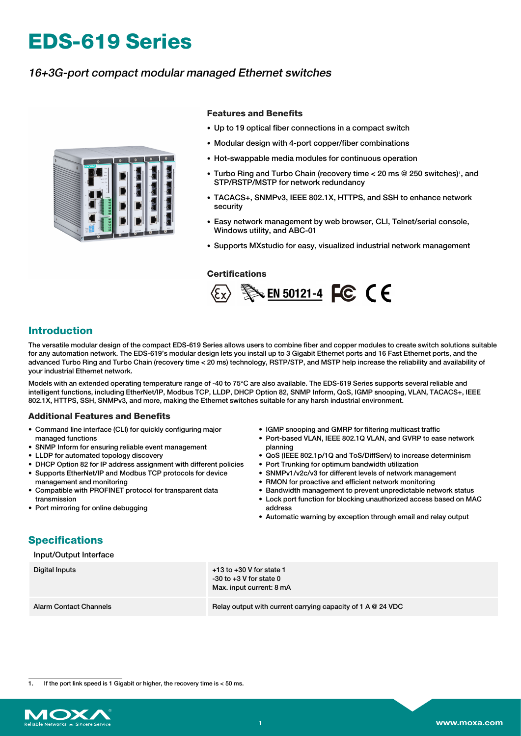# **EDS-619 Series**

## 16+3G-port compact modular managed Ethernet switches



#### **Features and Benefits**

- Up to 19 optical fiber connections in a compact switch
- Modular design with 4-port copper/fiber combinations
- Hot-swappable media modules for continuous operation
- Turbo Ring and Turbo Chain (recovery time < 20 ms @ 250 switches)<sup>1</sup>, and STP/RSTP/MSTP for network redundancy
- TACACS+, SNMPv3, IEEE 802.1X, HTTPS, and SSH to enhance network security
- Easy network management by web browser, CLI, Telnet/serial console, Windows utility, and ABC-01
- Supports MXstudio for easy, visualized industrial network management

#### **Certifications**



## **Introduction**

The versatile modular design of the compact EDS-619 Series allows users to combine fiber and copper modules to create switch solutions suitable for any automation network. The EDS-619's modular design lets you install up to 3 Gigabit Ethernet ports and 16 Fast Ethernet ports, and the advanced Turbo Ring and Turbo Chain (recovery time < 20 ms) technology, RSTP/STP, and MSTP help increase the reliability and availability of your industrial Ethernet network.

Models with an extended operating temperature range of -40 to 75°C are also available. The EDS-619 Series supports several reliable and intelligent functions, including EtherNet/IP, Modbus TCP, LLDP, DHCP Option 82, SNMP Inform, QoS, IGMP snooping, VLAN, TACACS+, IEEE 802.1X, HTTPS, SSH, SNMPv3, and more, making the Ethernet switches suitable for any harsh industrial environment.

#### **Additional Features and Benefits**

- Command line interface (CLI) for quickly configuring major managed functions
- SNMP Inform for ensuring reliable event management
- LLDP for automated topology discovery
- DHCP Option 82 for IP address assignment with different policies
- Supports EtherNet/IP and Modbus TCP protocols for device management and monitoring
- Compatible with PROFINET protocol for transparent data transmission
- Port mirroring for online debugging
- IGMP snooping and GMRP for filtering multicast traffic
- Port-based VLAN, IEEE 802.1Q VLAN, and GVRP to ease network planning
- QoS (IEEE 802.1p/1Q and ToS/DiffServ) to increase determinism • Port Trunking for optimum bandwidth utilization
- 
- SNMPv1/v2c/v3 for different levels of network management
- RMON for proactive and efficient network monitoring
- Bandwidth management to prevent unpredictable network status
- Lock port function for blocking unauthorized access based on MAC address
- Automatic warning by exception through email and relay output

## **Specifications**

#### Input/Output Interface

| Digital Inputs                | $+13$ to $+30$ V for state 1<br>$-30$ to $+3$ V for state 0<br>Max. input current: 8 mA |
|-------------------------------|-----------------------------------------------------------------------------------------|
| <b>Alarm Contact Channels</b> | Relay output with current carrying capacity of 1 A $@$ 24 VDC                           |

If the port link speed is 1 Gigabit or higher, the recovery time is  $<$  50 ms.

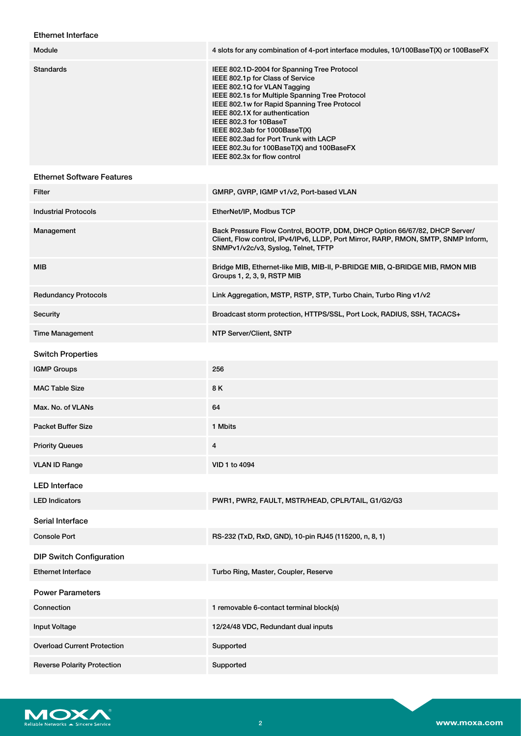### Ethernet Interface

| Module                             | 4 slots for any combination of 4-port interface modules, 10/100BaseT(X) or 100BaseFX                                                                                                                                                                                                                                                                                                                                                  |
|------------------------------------|---------------------------------------------------------------------------------------------------------------------------------------------------------------------------------------------------------------------------------------------------------------------------------------------------------------------------------------------------------------------------------------------------------------------------------------|
| <b>Standards</b>                   | IEEE 802.1D-2004 for Spanning Tree Protocol<br>IEEE 802.1p for Class of Service<br>IEEE 802.1Q for VLAN Tagging<br>IEEE 802.1s for Multiple Spanning Tree Protocol<br>IEEE 802.1w for Rapid Spanning Tree Protocol<br>IEEE 802.1X for authentication<br>IEEE 802.3 for 10BaseT<br>IEEE 802.3ab for 1000BaseT(X)<br>IEEE 802.3ad for Port Trunk with LACP<br>IEEE 802.3u for 100BaseT(X) and 100BaseFX<br>IEEE 802.3x for flow control |
| <b>Ethernet Software Features</b>  |                                                                                                                                                                                                                                                                                                                                                                                                                                       |
| Filter                             | GMRP, GVRP, IGMP v1/v2, Port-based VLAN                                                                                                                                                                                                                                                                                                                                                                                               |
| <b>Industrial Protocols</b>        | EtherNet/IP, Modbus TCP                                                                                                                                                                                                                                                                                                                                                                                                               |
| Management                         | Back Pressure Flow Control, BOOTP, DDM, DHCP Option 66/67/82, DHCP Server/<br>Client, Flow control, IPv4/IPv6, LLDP, Port Mirror, RARP, RMON, SMTP, SNMP Inform,<br>SNMPv1/v2c/v3, Syslog, Telnet, TFTP                                                                                                                                                                                                                               |
| <b>MIB</b>                         | Bridge MIB, Ethernet-like MIB, MIB-II, P-BRIDGE MIB, Q-BRIDGE MIB, RMON MIB<br>Groups 1, 2, 3, 9, RSTP MIB                                                                                                                                                                                                                                                                                                                            |
| <b>Redundancy Protocols</b>        | Link Aggregation, MSTP, RSTP, STP, Turbo Chain, Turbo Ring v1/v2                                                                                                                                                                                                                                                                                                                                                                      |
| Security                           | Broadcast storm protection, HTTPS/SSL, Port Lock, RADIUS, SSH, TACACS+                                                                                                                                                                                                                                                                                                                                                                |
| <b>Time Management</b>             | NTP Server/Client, SNTP                                                                                                                                                                                                                                                                                                                                                                                                               |
| <b>Switch Properties</b>           |                                                                                                                                                                                                                                                                                                                                                                                                                                       |
| <b>IGMP Groups</b>                 | 256                                                                                                                                                                                                                                                                                                                                                                                                                                   |
| <b>MAC Table Size</b>              | 8 K                                                                                                                                                                                                                                                                                                                                                                                                                                   |
| Max. No. of VLANs                  | 64                                                                                                                                                                                                                                                                                                                                                                                                                                    |
| <b>Packet Buffer Size</b>          | 1 Mbits                                                                                                                                                                                                                                                                                                                                                                                                                               |
| <b>Priority Queues</b>             | $\overline{4}$                                                                                                                                                                                                                                                                                                                                                                                                                        |
| <b>VLAN ID Range</b>               | VID 1 to 4094                                                                                                                                                                                                                                                                                                                                                                                                                         |
| <b>LED</b> Interface               |                                                                                                                                                                                                                                                                                                                                                                                                                                       |
| <b>LED Indicators</b>              | PWR1, PWR2, FAULT, MSTR/HEAD, CPLR/TAIL, G1/G2/G3                                                                                                                                                                                                                                                                                                                                                                                     |
| Serial Interface                   |                                                                                                                                                                                                                                                                                                                                                                                                                                       |
| <b>Console Port</b>                | RS-232 (TxD, RxD, GND), 10-pin RJ45 (115200, n, 8, 1)                                                                                                                                                                                                                                                                                                                                                                                 |
| <b>DIP Switch Configuration</b>    |                                                                                                                                                                                                                                                                                                                                                                                                                                       |
| <b>Ethernet Interface</b>          | Turbo Ring, Master, Coupler, Reserve                                                                                                                                                                                                                                                                                                                                                                                                  |
| <b>Power Parameters</b>            |                                                                                                                                                                                                                                                                                                                                                                                                                                       |
| Connection                         | 1 removable 6-contact terminal block(s)                                                                                                                                                                                                                                                                                                                                                                                               |
| Input Voltage                      | 12/24/48 VDC, Redundant dual inputs                                                                                                                                                                                                                                                                                                                                                                                                   |
| <b>Overload Current Protection</b> | Supported                                                                                                                                                                                                                                                                                                                                                                                                                             |
| <b>Reverse Polarity Protection</b> | Supported                                                                                                                                                                                                                                                                                                                                                                                                                             |

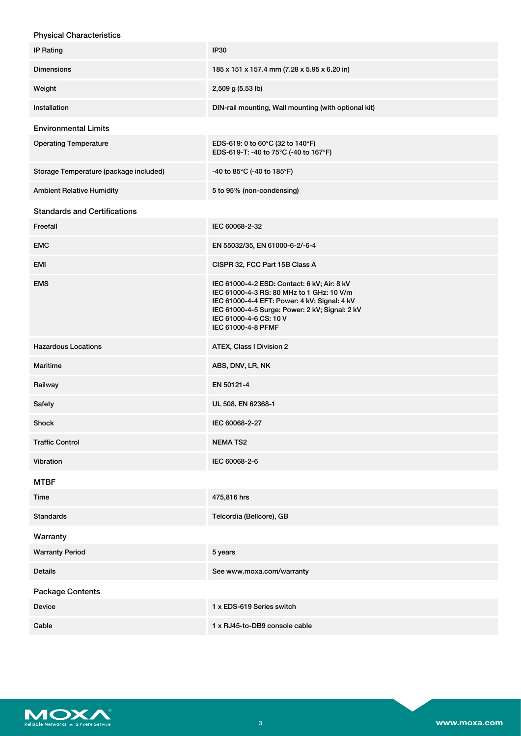| <b>Physical Characteristics</b>        |                                                                                                                                                                                                                                            |
|----------------------------------------|--------------------------------------------------------------------------------------------------------------------------------------------------------------------------------------------------------------------------------------------|
| <b>IP Rating</b>                       | <b>IP30</b>                                                                                                                                                                                                                                |
| <b>Dimensions</b>                      | 185 x 151 x 157.4 mm (7.28 x 5.95 x 6.20 in)                                                                                                                                                                                               |
| Weight                                 | 2,509 g (5.53 lb)                                                                                                                                                                                                                          |
| Installation                           | DIN-rail mounting, Wall mounting (with optional kit)                                                                                                                                                                                       |
| <b>Environmental Limits</b>            |                                                                                                                                                                                                                                            |
| <b>Operating Temperature</b>           | EDS-619: 0 to 60°C (32 to 140°F)<br>EDS-619-T: -40 to 75°C (-40 to 167°F)                                                                                                                                                                  |
| Storage Temperature (package included) | -40 to 85°C (-40 to 185°F)                                                                                                                                                                                                                 |
| <b>Ambient Relative Humidity</b>       | 5 to 95% (non-condensing)                                                                                                                                                                                                                  |
| <b>Standards and Certifications</b>    |                                                                                                                                                                                                                                            |
| Freefall                               | IEC 60068-2-32                                                                                                                                                                                                                             |
| <b>EMC</b>                             | EN 55032/35, EN 61000-6-2/-6-4                                                                                                                                                                                                             |
| <b>EMI</b>                             | CISPR 32, FCC Part 15B Class A                                                                                                                                                                                                             |
| <b>EMS</b>                             | IEC 61000-4-2 ESD: Contact: 6 kV; Air: 8 kV<br>IEC 61000-4-3 RS: 80 MHz to 1 GHz: 10 V/m<br>IEC 61000-4-4 EFT: Power: 4 kV; Signal: 4 kV<br>IEC 61000-4-5 Surge: Power: 2 kV; Signal: 2 kV<br>IEC 61000-4-6 CS: 10 V<br>IEC 61000-4-8 PFMF |
| <b>Hazardous Locations</b>             | ATEX, Class I Division 2                                                                                                                                                                                                                   |
| <b>Maritime</b>                        | ABS, DNV, LR, NK                                                                                                                                                                                                                           |
| Railway                                | EN 50121-4                                                                                                                                                                                                                                 |
| Safety                                 | UL 508, EN 62368-1                                                                                                                                                                                                                         |
| Shock                                  | IEC 60068-2-27                                                                                                                                                                                                                             |
| <b>Traffic Control</b>                 | <b>NEMATS2</b>                                                                                                                                                                                                                             |
| Vibration                              | IEC 60068-2-6                                                                                                                                                                                                                              |
| <b>MTBF</b>                            |                                                                                                                                                                                                                                            |
| Time                                   | 475,816 hrs                                                                                                                                                                                                                                |
| <b>Standards</b>                       | Telcordia (Bellcore), GB                                                                                                                                                                                                                   |
| Warranty                               |                                                                                                                                                                                                                                            |
| <b>Warranty Period</b>                 | 5 years                                                                                                                                                                                                                                    |
| Details                                | See www.moxa.com/warranty                                                                                                                                                                                                                  |
| Package Contents                       |                                                                                                                                                                                                                                            |
| Device                                 | 1 x EDS-619 Series switch                                                                                                                                                                                                                  |
| Cable                                  | 1 x RJ45-to-DB9 console cable                                                                                                                                                                                                              |

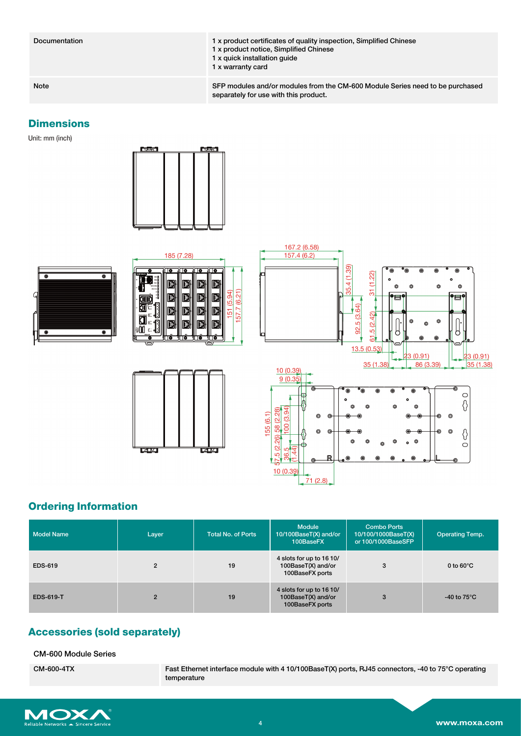Documentation 1 x product certificates of quality inspection, Simplified Chinese x product notice, Simplified Chinese x quick installation guide x warranty card

Note SFP modules and/or modules from the CM-600 Module Series need to be purchased separately for use with this product.

#### **Dimensions**

Unit: mm (inch)











## **Ordering Information**

| <b>Model Name</b> | Layer          | <b>Total No. of Ports</b> | <b>Module</b><br>$10/100$ Base $\overline{T(X)}$ and/or<br>100BaseFX | <b>Combo Ports</b><br>10/100/1000BaseT(X)<br>or 100/1000BaseSFP | <b>Operating Temp.</b> |
|-------------------|----------------|---------------------------|----------------------------------------------------------------------|-----------------------------------------------------------------|------------------------|
| <b>EDS-619</b>    | $\overline{2}$ | 19                        | 4 slots for up to 16 10/<br>100BaseT(X) and/or<br>100BaseFX ports    | 3                                                               | 0 to $60^{\circ}$ C    |
| <b>EDS-619-T</b>  | $\overline{2}$ | 19                        | 4 slots for up to 16 10/<br>100BaseT(X) and/or<br>100BaseFX ports    | 3                                                               | -40 to $75^{\circ}$ C  |

## **Accessories (sold separately)**

CM-600 Module Series

CM-600-4TX Fast Ethernet interface module with 4 10/100BaseT(X) ports, RJ45 connectors, -40 to 75°C operating temperature

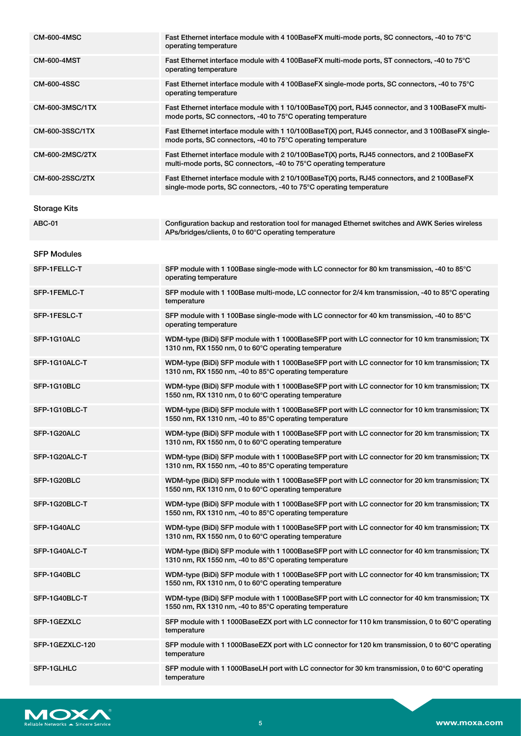| <b>CM-600-4MSC</b>  | Fast Ethernet interface module with 4 100BaseFX multi-mode ports, SC connectors, -40 to 75°C<br>operating temperature                                               |
|---------------------|---------------------------------------------------------------------------------------------------------------------------------------------------------------------|
| <b>CM-600-4MST</b>  | Fast Ethernet interface module with 4 100BaseFX multi-mode ports, ST connectors, -40 to 75°C<br>operating temperature                                               |
| <b>CM-600-4SSC</b>  | Fast Ethernet interface module with 4 100BaseFX single-mode ports, SC connectors, -40 to 75°C<br>operating temperature                                              |
| CM-600-3MSC/1TX     | Fast Ethernet interface module with 1 10/100BaseT(X) port, RJ45 connector, and 3 100BaseFX multi-<br>mode ports, SC connectors, -40 to 75°C operating temperature   |
| CM-600-3SSC/1TX     | Fast Ethernet interface module with 1 10/100BaseT(X) port, RJ45 connector, and 3 100BaseFX single-<br>mode ports, SC connectors, -40 to 75°C operating temperature  |
| CM-600-2MSC/2TX     | Fast Ethernet interface module with 2 10/100BaseT(X) ports, RJ45 connectors, and 2 100BaseFX<br>multi-mode ports, SC connectors, -40 to 75°C operating temperature  |
| CM-600-2SSC/2TX     | Fast Ethernet interface module with 2 10/100BaseT(X) ports, RJ45 connectors, and 2 100BaseFX<br>single-mode ports, SC connectors, -40 to 75°C operating temperature |
| <b>Storage Kits</b> |                                                                                                                                                                     |
| <b>ABC-01</b>       | Configuration backup and restoration tool for managed Ethernet switches and AWK Series wireless<br>APs/bridges/clients, 0 to 60°C operating temperature             |
| <b>SFP Modules</b>  |                                                                                                                                                                     |
| SFP-1FELLC-T        | SFP module with 1 100Base single-mode with LC connector for 80 km transmission, -40 to 85°C<br>operating temperature                                                |
| SFP-1FEMLC-T        | SFP module with 1 100Base multi-mode, LC connector for 2/4 km transmission, -40 to 85°C operating<br>temperature                                                    |
| SFP-1FESLC-T        | SFP module with 1 100Base single-mode with LC connector for 40 km transmission, -40 to 85°C<br>operating temperature                                                |
| SFP-1G10ALC         | WDM-type (BiDi) SFP module with 1 1000BaseSFP port with LC connector for 10 km transmission; TX<br>1310 nm, RX 1550 nm, 0 to 60°C operating temperature             |
| SFP-1G10ALC-T       | WDM-type (BiDi) SFP module with 1 1000BaseSFP port with LC connector for 10 km transmission; TX<br>1310 nm, RX 1550 nm, -40 to 85°C operating temperature           |
| SFP-1G10BLC         | WDM-type (BiDi) SFP module with 1 1000BaseSFP port with LC connector for 10 km transmission; TX<br>1550 nm, RX 1310 nm, 0 to 60°C operating temperature             |
| SFP-1G10BLC-T       | WDM-type (BiDi) SFP module with 1 1000BaseSFP port with LC connector for 10 km transmission; TX<br>1550 nm, RX 1310 nm, -40 to 85°C operating temperature           |
| SFP-1G20ALC         | WDM-type (BiDi) SFP module with 1 1000BaseSFP port with LC connector for 20 km transmission; TX<br>1310 nm, RX 1550 nm, 0 to 60°C operating temperature             |
| SFP-1G20ALC-T       | WDM-type (BiDi) SFP module with 1 1000BaseSFP port with LC connector for 20 km transmission; TX<br>1310 nm, RX 1550 nm, -40 to 85°C operating temperature           |
| SFP-1G20BLC         | WDM-type (BiDi) SFP module with 1 1000BaseSFP port with LC connector for 20 km transmission; TX<br>1550 nm, RX 1310 nm, 0 to 60°C operating temperature             |
| SFP-1G20BLC-T       | WDM-type (BiDi) SFP module with 1 1000BaseSFP port with LC connector for 20 km transmission; TX<br>1550 nm, RX 1310 nm, -40 to 85°C operating temperature           |
| SFP-1G40ALC         | WDM-type (BiDi) SFP module with 1 1000BaseSFP port with LC connector for 40 km transmission; TX<br>1310 nm, RX 1550 nm, 0 to 60°C operating temperature             |
| SFP-1G40ALC-T       | WDM-type (BiDi) SFP module with 1 1000BaseSFP port with LC connector for 40 km transmission; TX<br>1310 nm, RX 1550 nm, -40 to 85°C operating temperature           |
| SFP-1G40BLC         | WDM-type (BiDi) SFP module with 1 1000BaseSFP port with LC connector for 40 km transmission; TX<br>1550 nm, RX 1310 nm, 0 to 60°C operating temperature             |
| SFP-1G40BLC-T       | WDM-type (BiDi) SFP module with 1 1000BaseSFP port with LC connector for 40 km transmission; TX<br>1550 nm, RX 1310 nm, -40 to 85°C operating temperature           |
| SFP-1GEZXLC         | SFP module with 1 1000BaseEZX port with LC connector for 110 km transmission, 0 to 60 $\degree$ C operating<br>temperature                                          |
| SFP-1GEZXLC-120     | SFP module with 1 1000BaseEZX port with LC connector for 120 km transmission, 0 to 60°C operating<br>temperature                                                    |
| SFP-1GLHLC          | SFP module with 1 1000BaseLH port with LC connector for 30 km transmission, 0 to 60°C operating<br>temperature                                                      |